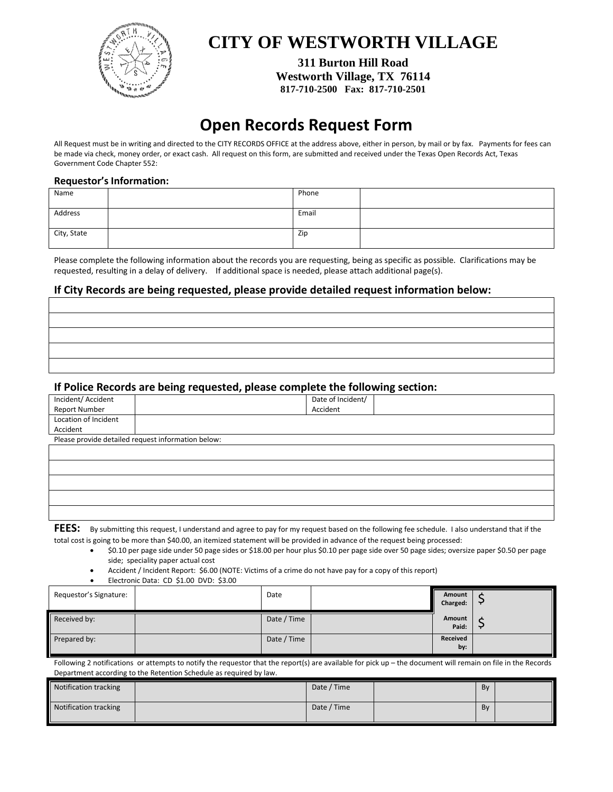

## **CITY OF WESTWORTH VILLAGE**

**311 Burton Hill Road Westworth Village, TX 76114 817-710-2500 Fax: 817-710-2501**

# **Open Records Request Form**

All Request must be in writing and directed to the CITY RECORDS OFFICE at the address above, either in person, by mail or by fax. Payments for fees can be made via check, money order, or exact cash. All request on this form, are submitted and received under the Texas Open Records Act, Texas Government Code Chapter 552:

### **Requestor's Information:**

| Name        | Phone |  |
|-------------|-------|--|
| Address     | Email |  |
| City, State | Zip   |  |

Please complete the following information about the records you are requesting, being as specific as possible. Clarifications may be requested, resulting in a delay of delivery. If additional space is needed, please attach additional page(s).

### **If City Records are being requested, please provide detailed request information below:**

### **If Police Records are being requested, please complete the following section:**

|                      | ັ<br>. .                                           |                   | ັ |  |  |  |
|----------------------|----------------------------------------------------|-------------------|---|--|--|--|
| Incident/ Accident   |                                                    | Date of Incident/ |   |  |  |  |
| Report Number        |                                                    | Accident          |   |  |  |  |
| Location of Incident |                                                    |                   |   |  |  |  |
| Accident             |                                                    |                   |   |  |  |  |
|                      | Please provide detailed request information below: |                   |   |  |  |  |
|                      |                                                    |                   |   |  |  |  |
|                      |                                                    |                   |   |  |  |  |
|                      |                                                    |                   |   |  |  |  |
|                      |                                                    |                   |   |  |  |  |
|                      |                                                    |                   |   |  |  |  |
|                      |                                                    |                   |   |  |  |  |
|                      |                                                    |                   |   |  |  |  |

**FEES:** By submitting this request, I understand and agree to pay for my request based on the following fee schedule. I also understand that if the total cost is going to be more than \$40.00, an itemized statement will be provided in advance of the request being processed:

• \$0.10 per page side under 50 page sides or \$18.00 per hour plus \$0.10 per page side over 50 page sides; oversize paper \$0.50 per page side; speciality paper actual cost

• Accident / Incident Report: \$6.00 (NOTE: Victims of a crime do not have pay for a copy of this report)

• Electronic Data: CD \$1.00 DVD: \$3.00

| Requestor's Signature: | Date        | Amount<br>Charged: | $\overline{ }$ |
|------------------------|-------------|--------------------|----------------|
| Received by:           | Date / Time | Amount<br>Paid:    | ∽              |
| Prepared by:           | Date / Time | Received<br>by:    |                |

Following 2 notifications or attempts to notify the requestor that the report(s) are available for pick up – the document will remain on file in the Records Department according to the Retention Schedule as required by law.

| Notification tracking | Date / Time | Bv |  |
|-----------------------|-------------|----|--|
| Notification tracking | Date / Time | Bv |  |